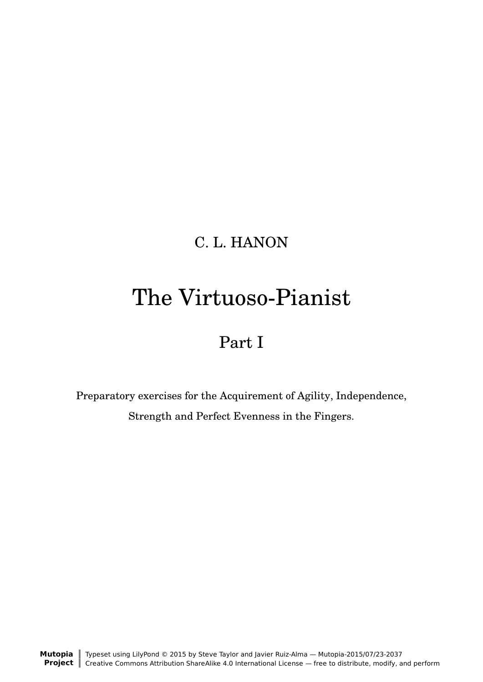# C. L. HANON

# The Virtuoso-Pianist

# Part I

Preparatory exercises for the Acquirement of Agility, Independence, Strength and Perfect Evenness in the Fingers.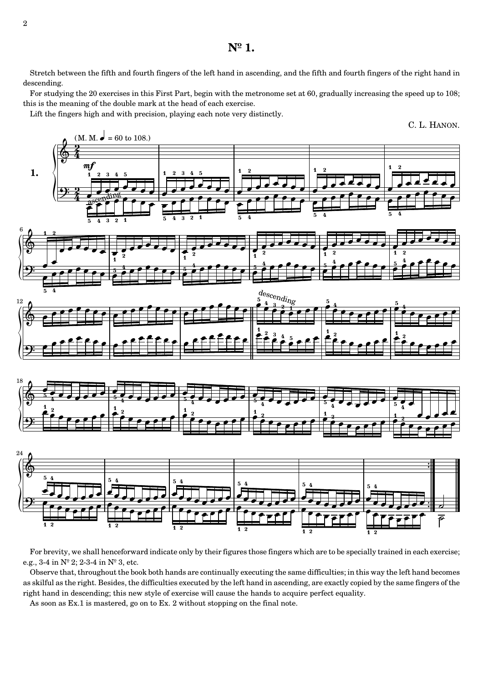Stretch between the fifth and fourth fingers of the left hand in ascending, and the fifth and fourth fingers of the right hand in descending.

For studying the 20 exercises in this First Part, begin with the metronome set at 60, gradually increasing the speed up to 108; this is the meaning of the double mark at the head of each exercise.

Lift the fingers high and with precision, playing each note very distinctly.



For brevity, we shall henceforward indicate only by their figures those fingers which are to be specially trained in each exercise; e.g., 3-4 in Nº 2; 2-3-4 in Nº 3, etc.

Observe that, throughout the book both hands are continually executing the same difficulties; in this way the left hand becomes as skilful as the right. Besides, the difficulties executed by the left hand in ascending, are exactly copied by the same fingers of the right hand in descending; this new style of exercise will cause the hands to acquire perfect equality.

As soon as Ex.1 is mastered, go on to Ex. 2 without stopping on the final note.

2

**Nº 1.**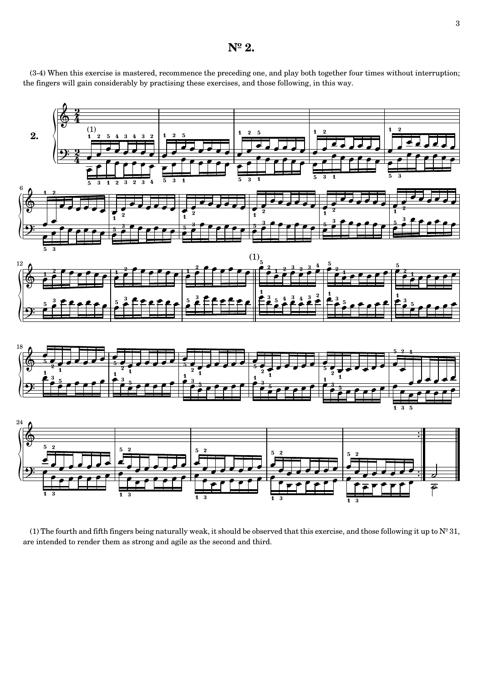#### **Nº 2.**

(3-4) When this exercise is mastered, recommence the preceding one, and play both together four times without interruption; the fingers will gain considerably by practising these exercises, and those following, in this way.



(1) The fourth and fifth fingers being naturally weak, it should be observed that this exercise, and those following it up to  $N^{\circ}$  31, are intended to render them as strong and agile as the second and third.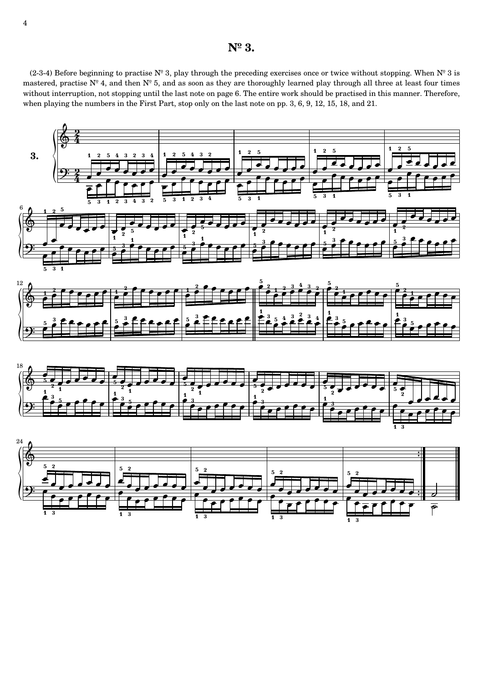#### **Nº 3.**

(2-3-4) Before beginning to practise  $N^{\circ}$  3, play through the preceding exercises once or twice without stopping. When  $N^{\circ}$  3 is mastered, practise  $N^{\circ}$  4, and then  $N^{\circ}$  5, and as soon as they are thoroughly learned play through all three at least four times without interruption, not stopping until the last note on page 6. The entire work should be practised in this manner. Therefore, when playing the numbers in the First Part, stop only on the last note on pp. 3, 6, 9, 12, 15, 18, and 21.

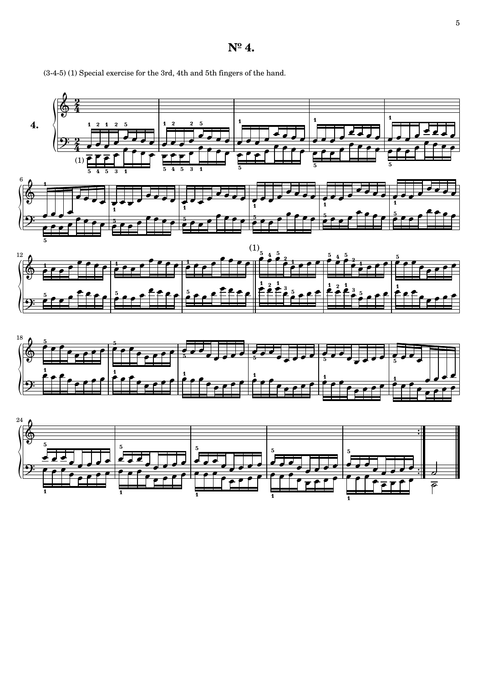$N^{\circ}$  4.

(3-4-5) (1) Special exercise for the 3rd, 4th and 5th fingers of the hand.

 $\overline{\mathbf{4}}$  $\overline{5}$ - 9  $(1)$ <sup> $\overline{?}$ </sup>  $\bf 6$  $(1)$ <sub>5</sub>  $\overline{\mathbf{5}}$ 12  $\overline{4}$ ि 18



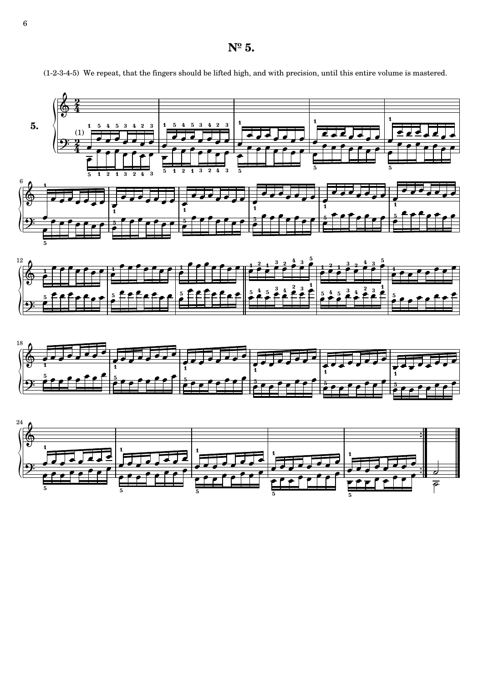**Nº 5.**



¬ ¬ ¬

 $\frac{1}{\sqrt{2}}$ 

¬

¬ ¬

¬ ¬

¬ ¬ ¬

¬ 5

¬

¬ ¬

¬ ¬

¬ .<br>5

¬

¬

¬ ¬

¬

 $\frac{1}{\sqrt{2}}$ 

¬ ¬

¬

¬ .<br>5

¬

¬

¬

¬

¬ ¬ ¬

¬

¬ ¬

¬ 5

¬

¬

¬

¬ 5

¬

¬

 $\frac{1}{\sqrt{1-\frac{1}{\sqrt{1-\frac{1}{\sqrt{1-\frac{1}{\sqrt{1-\frac{1}{\sqrt{1-\frac{1}{\sqrt{1-\frac{1}{\sqrt{1-\frac{1}{\sqrt{1-\frac{1}{\sqrt{1-\frac{1}{\sqrt{1-\frac{1}{\sqrt{1-\frac{1}{\sqrt{1-\frac{1}{\sqrt{1-\frac{1}{\sqrt{1-\frac{1}{\sqrt{1-\frac{1}{\sqrt{1-\frac{1}{\sqrt{1-\frac{1}{\sqrt{1-\frac{1}{\sqrt{1-\frac{1}{\sqrt{1-\frac{1}{\sqrt{1-\frac{1}{\sqrt{1-\frac{1}{\sqrt{1-\frac{1}{\sqrt{1-\frac{1$ 

¬

¬

--

 $\overline{P}$ ⇁

¬

¬ ¬

¬ ¬

¬

¬ ¬

(1-2-3-4-5) We repeat, that the fingers should be lifted high, and with precision, until this entire volume is mastered.

6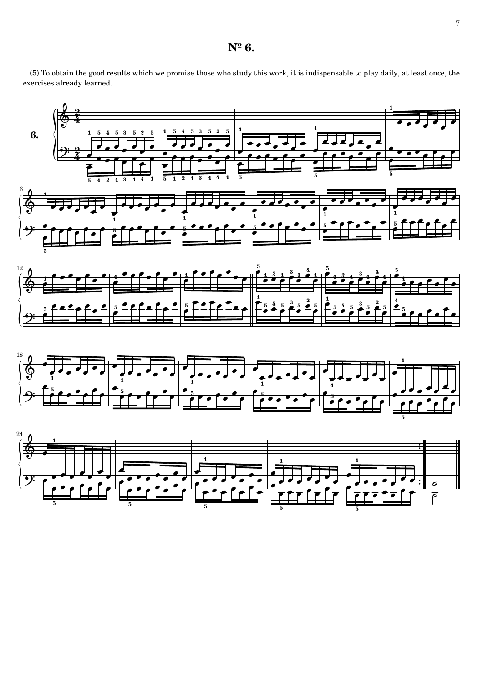(5) To obtain the good results which we promise those who study this work, it is indispensable to play daily, at least once, the exercises already learned.

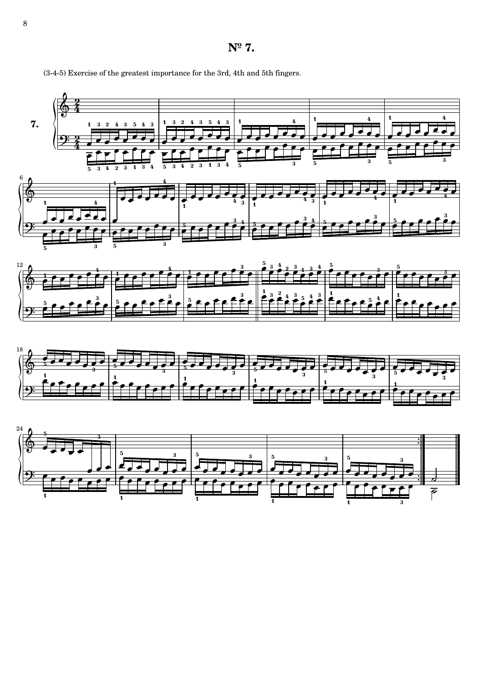**Nº 7.**



1

3

ر<br>1

(3-4-5) Exercise of the greatest importance for the 3rd, 4th and 5th fingers.

8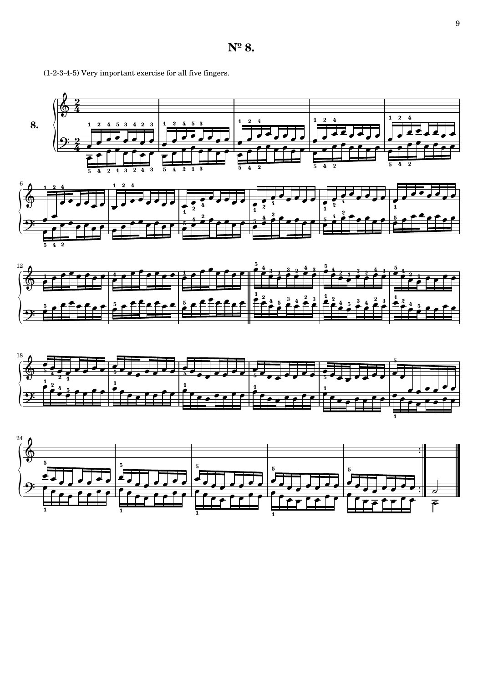







**Nº 8.**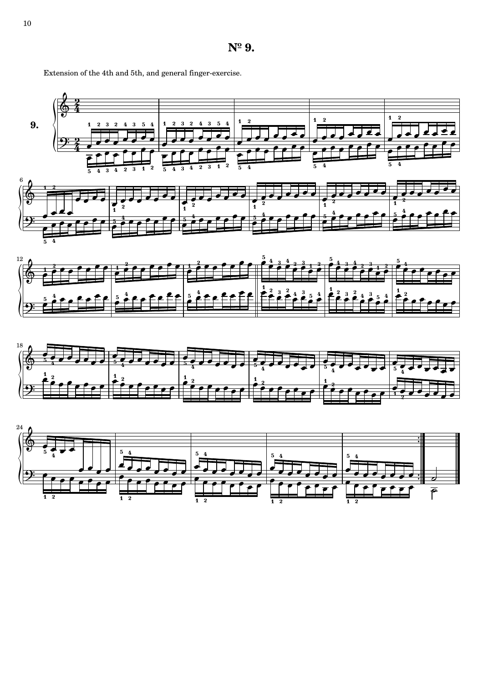







Extension of the 4th and 5th, and general finger-exercise.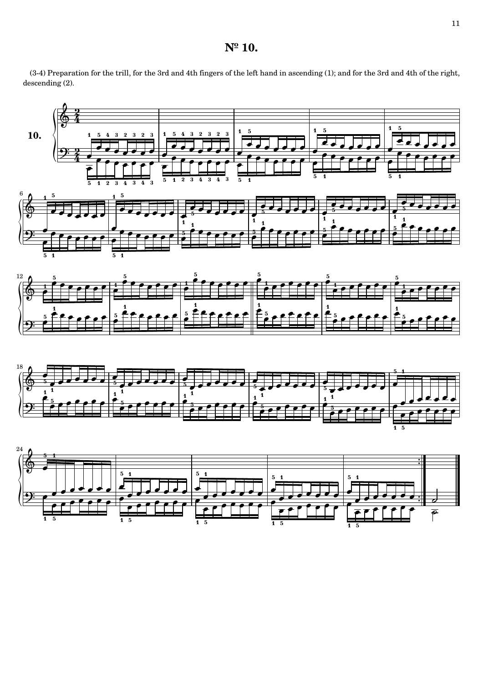## **Nº 10.**

(3-4) Preparation for the trill, for the 3rd and 4th fingers of the left hand in ascending (1); and for the 3rd and 4th of the right, descending (2).





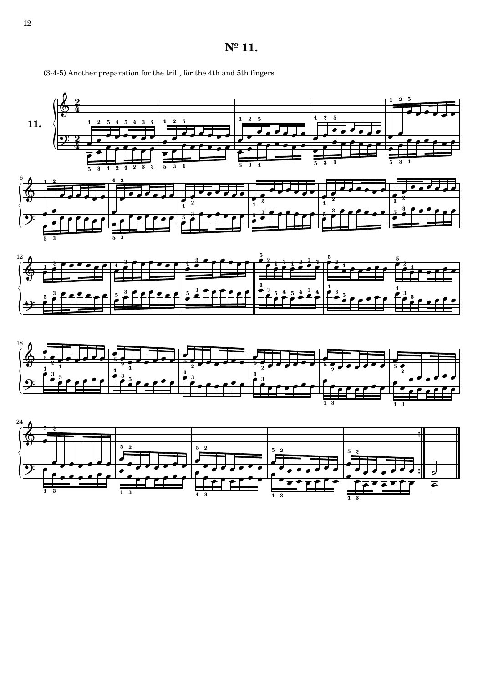



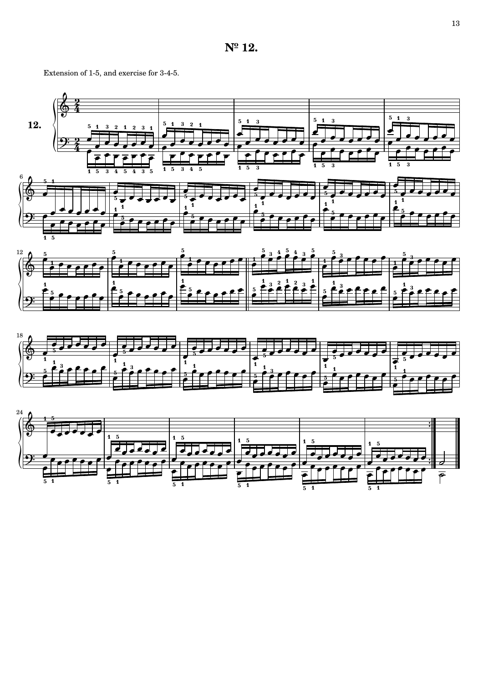Extension of 1-5, and exercise for 3-4-5.

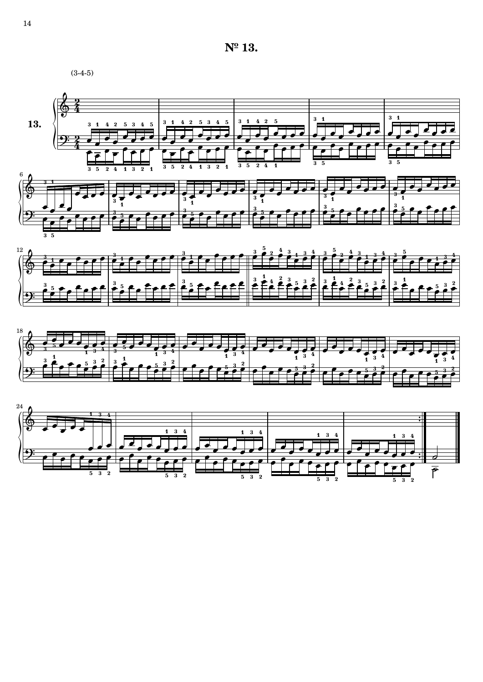**Nº 13.**







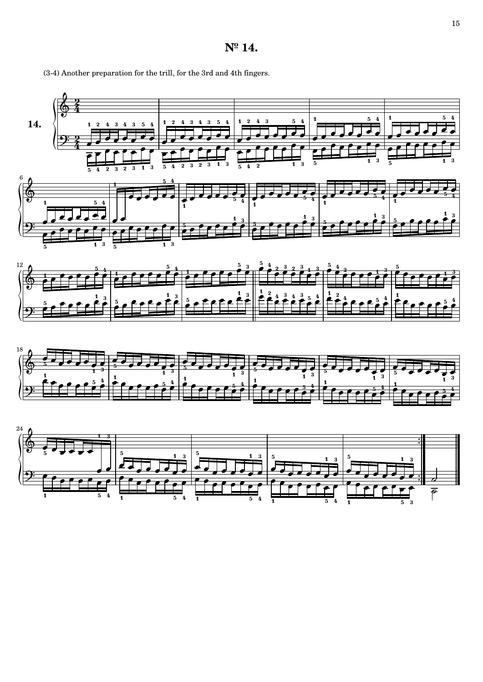## **Nº 14.**

(3-4) Another preparation for the trill, for the 3rd and 4th fingers.



้<br>3

5

1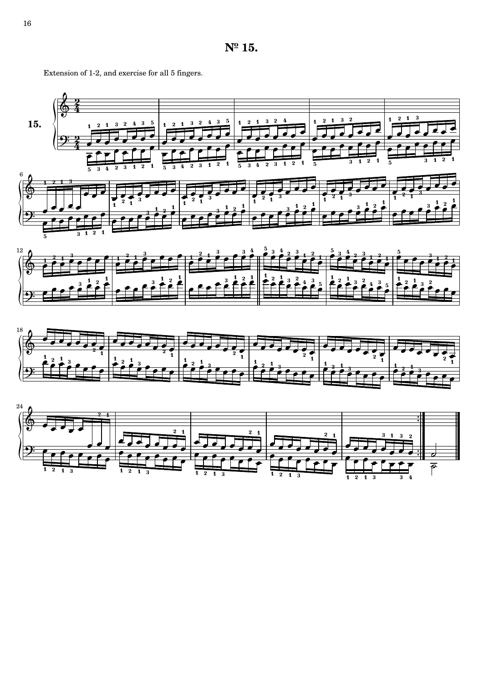





Extension of 1-2, and exercise for all 5 fingers.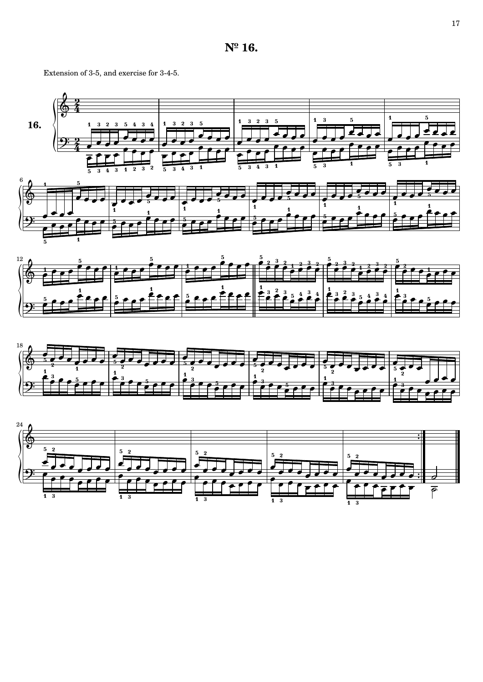## **Nº 16.**

Extension of 3-5, and exercise for 3-4-5.

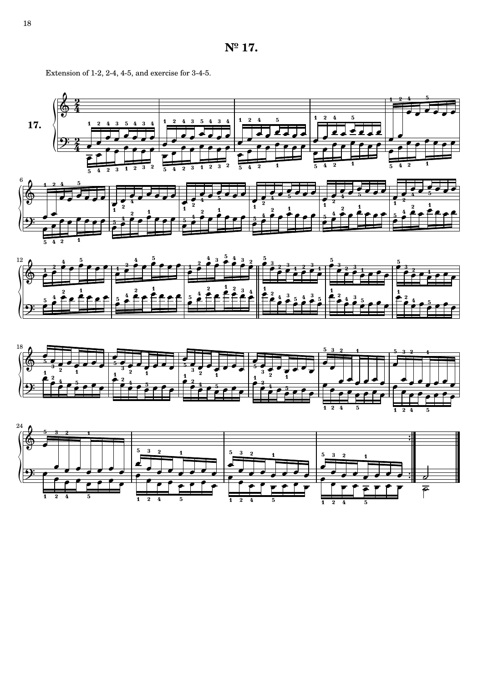

Extension of 1-2, 2-4, 4-5, and exercise for 3-4-5.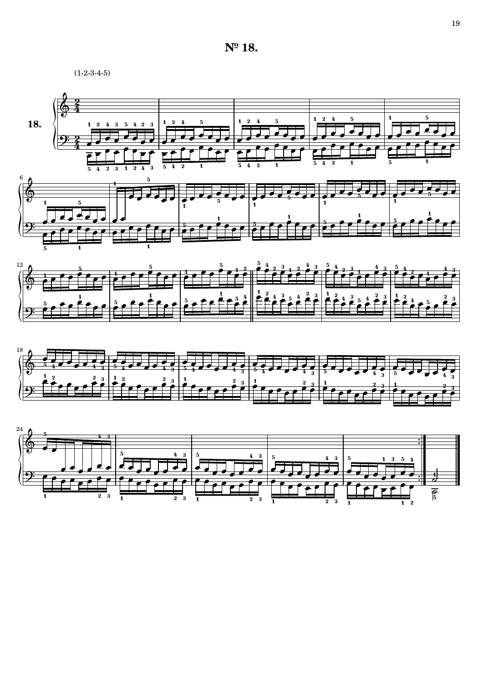#### **Nº 18.**

 $(1-2-3-4-5)$ 





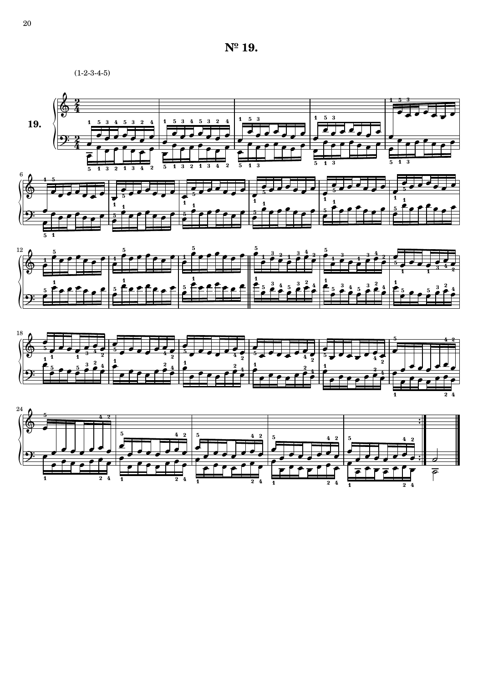**Nº 19.**